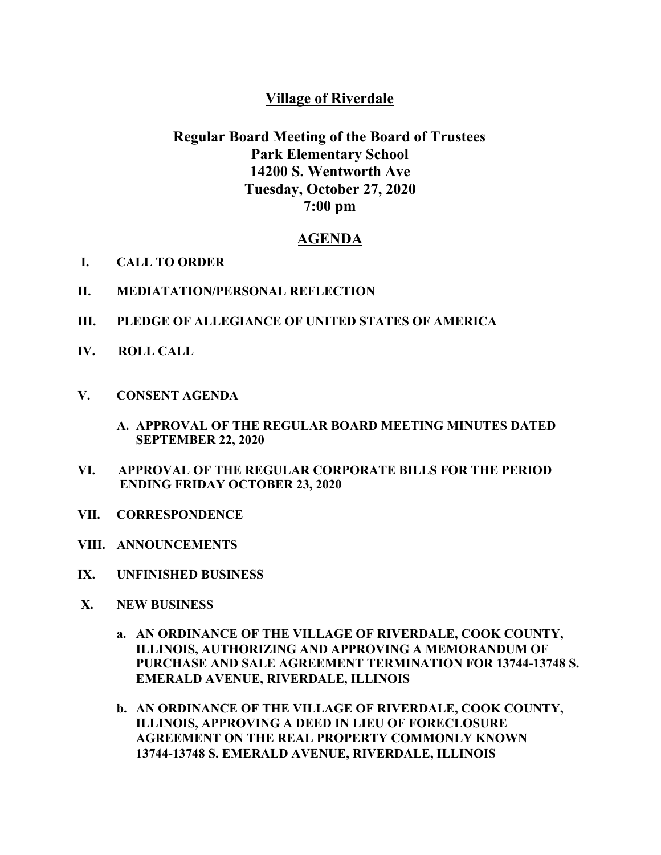## **Village of Riverdale**

# **Regular Board Meeting of the Board of Trustees Park Elementary School 14200 S. Wentworth Ave Tuesday, October 27, 2020 7:00 pm**

### **AGENDA**

- **I. CALL TO ORDER**
- **II. MEDIATATION/PERSONAL REFLECTION**
- **III. PLEDGE OF ALLEGIANCE OF UNITED STATES OF AMERICA**
- **IV. ROLL CALL**
- **V. CONSENT AGENDA**
	- **A. APPROVAL OF THE REGULAR BOARD MEETING MINUTES DATED SEPTEMBER 22, 2020**
- **VI. APPROVAL OF THE REGULAR CORPORATE BILLS FOR THE PERIOD ENDING FRIDAY OCTOBER 23, 2020**
- **VII. CORRESPONDENCE**
- **VIII. ANNOUNCEMENTS**
- **IX. UNFINISHED BUSINESS**
- **X. NEW BUSINESS**
	- **a. AN ORDINANCE OF THE VILLAGE OF RIVERDALE, COOK COUNTY, ILLINOIS, AUTHORIZING AND APPROVING A MEMORANDUM OF PURCHASE AND SALE AGREEMENT TERMINATION FOR 13744-13748 S. EMERALD AVENUE, RIVERDALE, ILLINOIS**
	- **b. AN ORDINANCE OF THE VILLAGE OF RIVERDALE, COOK COUNTY, ILLINOIS, APPROVING A DEED IN LIEU OF FORECLOSURE AGREEMENT ON THE REAL PROPERTY COMMONLY KNOWN 13744-13748 S. EMERALD AVENUE, RIVERDALE, ILLINOIS**